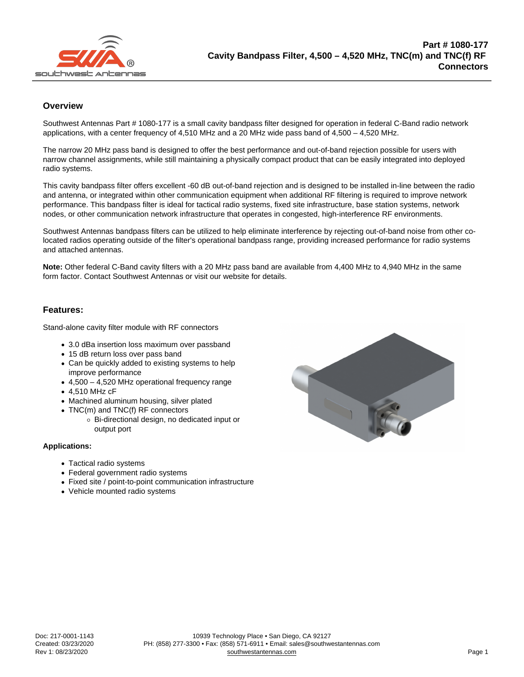## **Overview**

Southwest Antennas Part # 1080-177 is a small cavity bandpass filter designed for operation in federal C-Band radio network applications, with a center frequency of 4,510 MHz and a 20 MHz wide pass band of 4,500 – 4,520 MHz.

The narrow 20 MHz pass band is designed to offer the best performance and out-of-band rejection possible for users with narrow channel assignments, while still maintaining a physically compact product that can be easily integrated into deployed radio systems.

This cavity bandpass filter offers excellent -60 dB out-of-band rejection and is designed to be installed in-line between the radio and antenna, or integrated within other communication equipment when additional RF filtering is required to improve network performance. This bandpass filter is ideal for tactical radio systems, fixed site infrastructure, base station systems, network nodes, or other communication network infrastructure that operates in congested, high-interference RF environments.

Southwest Antennas bandpass filters can be utilized to help eliminate interference by rejecting out-of-band noise from other colocated radios operating outside of the filter's operational bandpass range, providing increased performance for radio systems and attached antennas.

Note: Other federal C-Band cavity filters with a 20 MHz pass band are available from 4,400 MHz to 4,940 MHz in the same form factor. Contact Southwest Antennas or visit our website for details.

## Features:

Stand-alone cavity filter module with RF connectors

- 3.0 dBa insertion loss maximum over passband
- 15 dB return loss over pass band
- Can be quickly added to existing systems to help improve performance
- $\bullet$  4,500 4,520 MHz operational frequency range
- 4,510 MHz cF
- Machined aluminum housing, silver plated
- TNC(m) and TNC(f) RF connectors
	- Bi-directional design, no dedicated input or output port

Applications:

- Tactical radio systems
- Federal government radio systems
- Fixed site / point-to-point communication infrastructure
- Vehicle mounted radio systems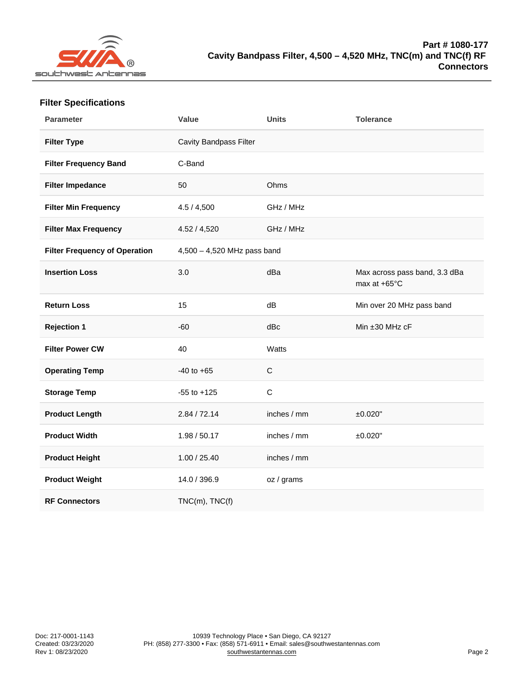| <b>Filter Specifications</b> |
|------------------------------|
|------------------------------|

| Parameter                     | Value                       | Units        | Tolerance                                     |
|-------------------------------|-----------------------------|--------------|-----------------------------------------------|
| Filter Type                   | Cavity Bandpass Filter      |              |                                               |
| Filter Frequency Band         | C-Band                      |              |                                               |
| Filter Impedance              | 50                          | Ohms         |                                               |
| Filter Min Frequency          | 4.5 / 4,500                 | GHz / MHz    |                                               |
| Filter Max Frequency          | 4.52 / 4,520                | GHz / MHz    |                                               |
| Filter Frequency of Operation | 4,500 - 4,520 MHz pass band |              |                                               |
| <b>Insertion Loss</b>         | 3.0                         | dBa          | Max across pass band, 3.3 dBa<br>max at +65°C |
| <b>Return Loss</b>            | 15                          | dB           | Min over 20 MHz pass band                     |
| Rejection 1                   | $-60$                       | dBc          | Min ±30 MHz cF                                |
| Filter Power CW               | 40                          | Watts        |                                               |
| <b>Operating Temp</b>         | $-40$ to $+65$              | $\mathsf C$  |                                               |
| Storage Temp                  | $-55$ to $+125$             | $\mathsf{C}$ |                                               |
| Product Length                | 2.84 / 72.14                | inches / mm  | ±0.020"                                       |
| Product Width                 | 1.98 / 50.17                | inches / mm  | ±0.020"                                       |
| Product Height                | 1.00 / 25.40                | inches / mm  |                                               |
| Product Weight                | 14.0 / 396.9                | oz / grams   |                                               |
| <b>RF Connectors</b>          | $TNC(m)$ , $TNC(f)$         |              |                                               |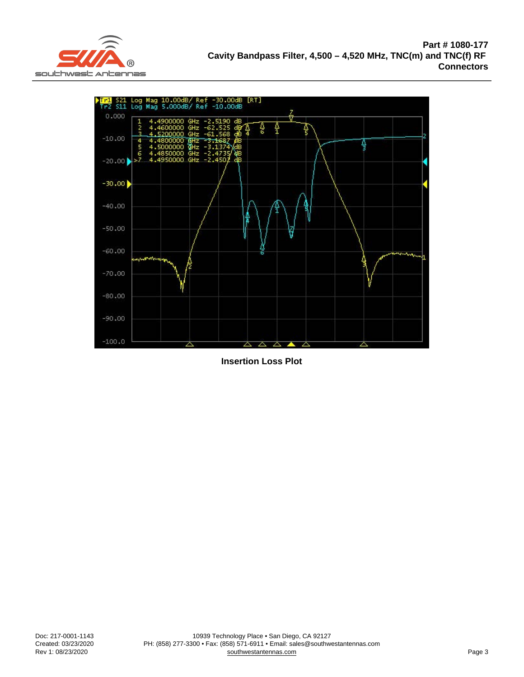Insertion Loss Plot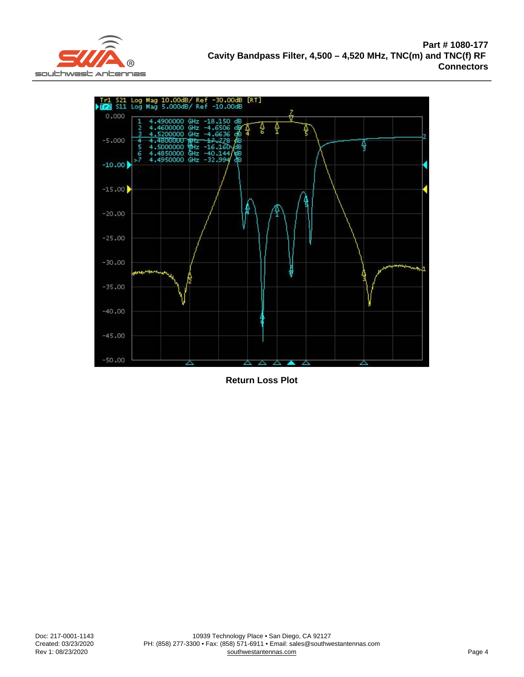Return Loss Plot